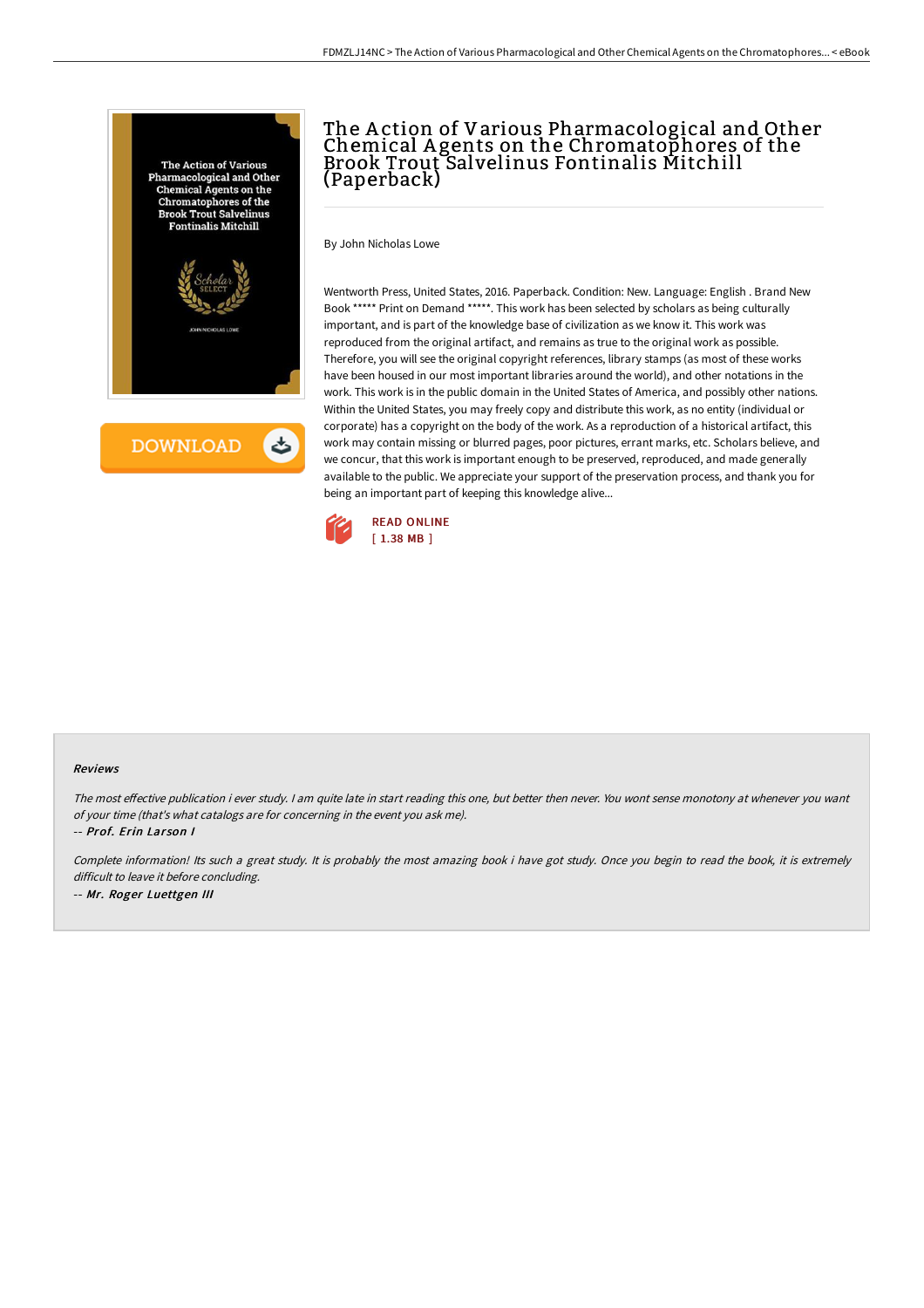

**DOWNLOAD** 

## The A ction of Various Pharmacological and Other Chemical A gents on the Chromatophores of the Brook Trout Salvelinus Fontinalis Mitchill (Paperback)

By John Nicholas Lowe

Wentworth Press, United States, 2016. Paperback. Condition: New. Language: English . Brand New Book \*\*\*\*\* Print on Demand \*\*\*\*\*. This work has been selected by scholars as being culturally important, and is part of the knowledge base of civilization as we know it. This work was reproduced from the original artifact, and remains as true to the original work as possible. Therefore, you will see the original copyright references, library stamps (as most of these works have been housed in our most important libraries around the world), and other notations in the work. This work is in the public domain in the United States of America, and possibly other nations. Within the United States, you may freely copy and distribute this work, as no entity (individual or corporate) has a copyright on the body of the work. As a reproduction of a historical artifact, this work may contain missing or blurred pages, poor pictures, errant marks, etc. Scholars believe, and we concur, that this work is important enough to be preserved, reproduced, and made generally available to the public. We appreciate your support of the preservation process, and thank you for being an important part of keeping this knowledge alive...



## Reviews

The most effective publication i ever study. I am quite late in start reading this one, but better then never. You wont sense monotony at whenever you want of your time (that's what catalogs are for concerning in the event you ask me).

-- Prof. Erin Larson I

Complete information! Its such a great study. It is probably the most amazing book i have got study. Once you begin to read the book, it is extremely difficult to leave it before concluding. -- Mr. Roger Luettgen III